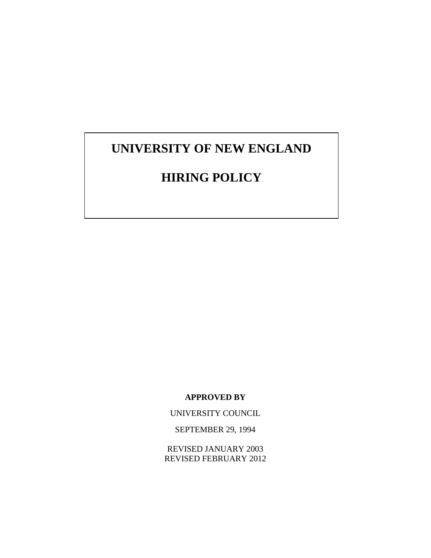# **UNIVERSITY OF NEW ENGLAND**

# **HIRING POLICY**

**APPROVED BY**

UNIVERSITY COUNCIL

SEPTEMBER 29, 1994

REVISED JANUARY 2003 REVISED FEBRUARY 2012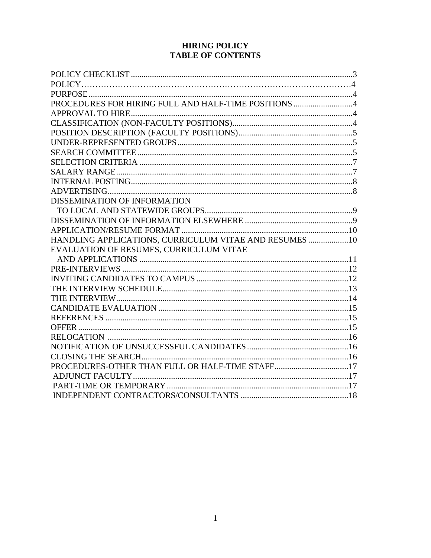## **HIRING POLICY TABLE OF CONTENTS**

| PROCEDURES FOR HIRING FULL AND HALF-TIME POSITIONS 4   |  |
|--------------------------------------------------------|--|
|                                                        |  |
|                                                        |  |
|                                                        |  |
|                                                        |  |
|                                                        |  |
|                                                        |  |
|                                                        |  |
|                                                        |  |
|                                                        |  |
| DISSEMINATION OF INFORMATION                           |  |
|                                                        |  |
|                                                        |  |
|                                                        |  |
| HANDLING APPLICATIONS, CURRICULUM VITAE AND RESUMES 10 |  |
| EVALUATION OF RESUMES, CURRICULUM VITAE                |  |
|                                                        |  |
|                                                        |  |
|                                                        |  |
|                                                        |  |
|                                                        |  |
|                                                        |  |
|                                                        |  |
|                                                        |  |
|                                                        |  |
|                                                        |  |
|                                                        |  |
|                                                        |  |
|                                                        |  |
|                                                        |  |
|                                                        |  |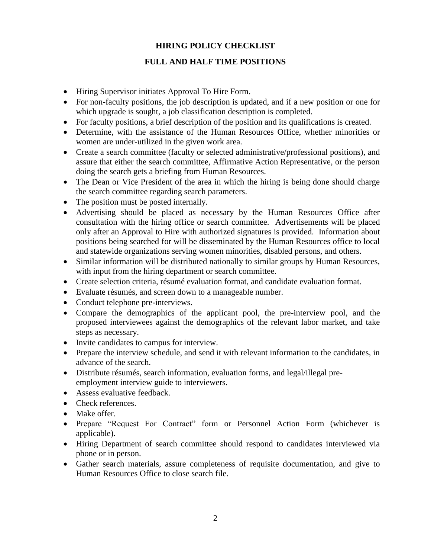## **HIRING POLICY CHECKLIST**

## **FULL AND HALF TIME POSITIONS**

- Hiring Supervisor initiates Approval To Hire Form.
- For non-faculty positions, the job description is updated, and if a new position or one for which upgrade is sought, a job classification description is completed.
- For faculty positions, a brief description of the position and its qualifications is created.
- Determine, with the assistance of the Human Resources Office, whether minorities or women are under-utilized in the given work area.
- Create a search committee (faculty or selected administrative/professional positions), and assure that either the search committee, Affirmative Action Representative, or the person doing the search gets a briefing from Human Resources.
- The Dean or Vice President of the area in which the hiring is being done should charge the search committee regarding search parameters.
- The position must be posted internally.
- Advertising should be placed as necessary by the Human Resources Office after consultation with the hiring office or search committee. Advertisements will be placed only after an Approval to Hire with authorized signatures is provided. Information about positions being searched for will be disseminated by the Human Resources office to local and statewide organizations serving women minorities, disabled persons, and others.
- Similar information will be distributed nationally to similar groups by Human Resources, with input from the hiring department or search committee.
- Create selection criteria, résumé evaluation format, and candidate evaluation format.
- Evaluate résumés, and screen down to a manageable number.
- Conduct telephone pre-interviews.
- Compare the demographics of the applicant pool, the pre-interview pool, and the proposed interviewees against the demographics of the relevant labor market, and take steps as necessary.
- Invite candidates to campus for interview.
- Prepare the interview schedule, and send it with relevant information to the candidates, in advance of the search.
- Distribute résumés, search information, evaluation forms, and legal/illegal preemployment interview guide to interviewers.
- Assess evaluative feedback.
- Check references.
- Make offer.
- Prepare "Request For Contract" form or Personnel Action Form (whichever is applicable).
- Hiring Department of search committee should respond to candidates interviewed via phone or in person.
- Gather search materials, assure completeness of requisite documentation, and give to Human Resources Office to close search file.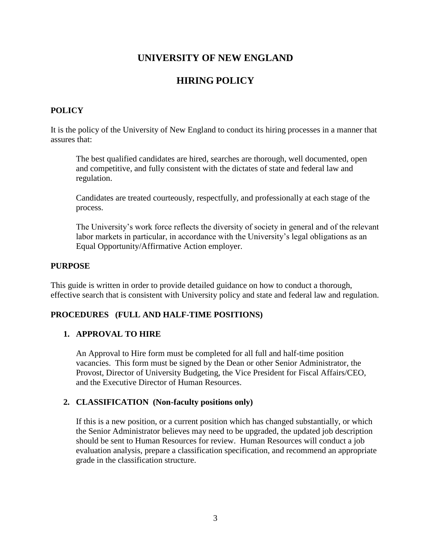## **UNIVERSITY OF NEW ENGLAND**

## **HIRING POLICY**

## **POLICY**

It is the policy of the University of New England to conduct its hiring processes in a manner that assures that:

The best qualified candidates are hired, searches are thorough, well documented, open and competitive, and fully consistent with the dictates of state and federal law and regulation.

Candidates are treated courteously, respectfully, and professionally at each stage of the process.

The University's work force reflects the diversity of society in general and of the relevant labor markets in particular, in accordance with the University's legal obligations as an Equal Opportunity/Affirmative Action employer.

#### **PURPOSE**

This guide is written in order to provide detailed guidance on how to conduct a thorough, effective search that is consistent with University policy and state and federal law and regulation.

#### **PROCEDURES (FULL AND HALF-TIME POSITIONS)**

#### **1. APPROVAL TO HIRE**

An Approval to Hire form must be completed for all full and half-time position vacancies. This form must be signed by the Dean or other Senior Administrator, the Provost, Director of University Budgeting, the Vice President for Fiscal Affairs/CEO, and the Executive Director of Human Resources.

#### **2. CLASSIFICATION (Non-faculty positions only)**

If this is a new position, or a current position which has changed substantially, or which the Senior Administrator believes may need to be upgraded, the updated job description should be sent to Human Resources for review. Human Resources will conduct a job evaluation analysis, prepare a classification specification, and recommend an appropriate grade in the classification structure.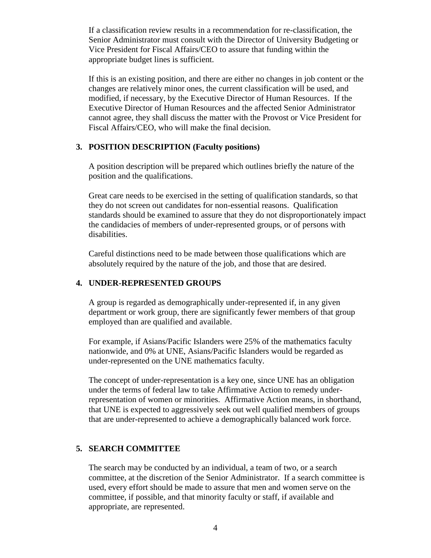If a classification review results in a recommendation for re-classification, the Senior Administrator must consult with the Director of University Budgeting or Vice President for Fiscal Affairs/CEO to assure that funding within the appropriate budget lines is sufficient.

If this is an existing position, and there are either no changes in job content or the changes are relatively minor ones, the current classification will be used, and modified, if necessary, by the Executive Director of Human Resources. If the Executive Director of Human Resources and the affected Senior Administrator cannot agree, they shall discuss the matter with the Provost or Vice President for Fiscal Affairs/CEO, who will make the final decision.

#### **3. POSITION DESCRIPTION (Faculty positions)**

A position description will be prepared which outlines briefly the nature of the position and the qualifications.

Great care needs to be exercised in the setting of qualification standards, so that they do not screen out candidates for non-essential reasons. Qualification standards should be examined to assure that they do not disproportionately impact the candidacies of members of under-represented groups, or of persons with disabilities.

Careful distinctions need to be made between those qualifications which are absolutely required by the nature of the job, and those that are desired.

#### **4. UNDER-REPRESENTED GROUPS**

A group is regarded as demographically under-represented if, in any given department or work group, there are significantly fewer members of that group employed than are qualified and available.

For example, if Asians/Pacific Islanders were 25% of the mathematics faculty nationwide, and 0% at UNE, Asians/Pacific Islanders would be regarded as under-represented on the UNE mathematics faculty.

The concept of under-representation is a key one, since UNE has an obligation under the terms of federal law to take Affirmative Action to remedy underrepresentation of women or minorities. Affirmative Action means, in shorthand, that UNE is expected to aggressively seek out well qualified members of groups that are under-represented to achieve a demographically balanced work force.

#### **5. SEARCH COMMITTEE**

The search may be conducted by an individual, a team of two, or a search committee, at the discretion of the Senior Administrator. If a search committee is used, every effort should be made to assure that men and women serve on the committee, if possible, and that minority faculty or staff, if available and appropriate, are represented.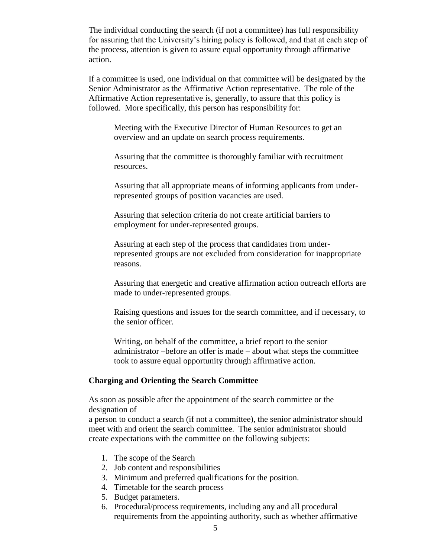The individual conducting the search (if not a committee) has full responsibility for assuring that the University's hiring policy is followed, and that at each step of the process, attention is given to assure equal opportunity through affirmative action.

If a committee is used, one individual on that committee will be designated by the Senior Administrator as the Affirmative Action representative. The role of the Affirmative Action representative is, generally, to assure that this policy is followed. More specifically, this person has responsibility for:

Meeting with the Executive Director of Human Resources to get an overview and an update on search process requirements.

Assuring that the committee is thoroughly familiar with recruitment resources.

Assuring that all appropriate means of informing applicants from underrepresented groups of position vacancies are used.

Assuring that selection criteria do not create artificial barriers to employment for under-represented groups.

Assuring at each step of the process that candidates from underrepresented groups are not excluded from consideration for inappropriate reasons.

Assuring that energetic and creative affirmation action outreach efforts are made to under-represented groups.

Raising questions and issues for the search committee, and if necessary, to the senior officer.

Writing, on behalf of the committee, a brief report to the senior administrator –before an offer is made – about what steps the committee took to assure equal opportunity through affirmative action.

#### **Charging and Orienting the Search Committee**

As soon as possible after the appointment of the search committee or the designation of

a person to conduct a search (if not a committee), the senior administrator should meet with and orient the search committee. The senior administrator should create expectations with the committee on the following subjects:

- 1. The scope of the Search
- 2. Job content and responsibilities
- 3. Minimum and preferred qualifications for the position.
- 4. Timetable for the search process
- 5. Budget parameters.
- 6. Procedural/process requirements, including any and all procedural requirements from the appointing authority, such as whether affirmative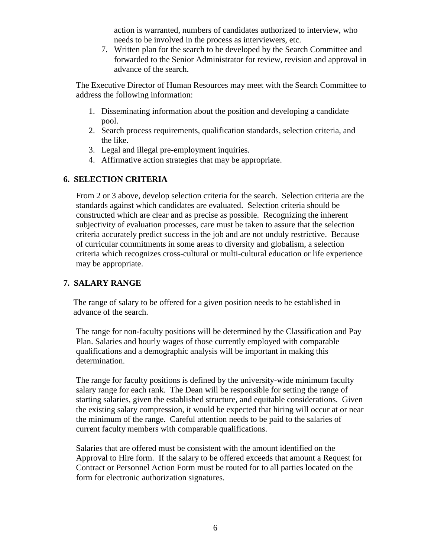action is warranted, numbers of candidates authorized to interview, who needs to be involved in the process as interviewers, etc.

7. Written plan for the search to be developed by the Search Committee and forwarded to the Senior Administrator for review, revision and approval in advance of the search.

The Executive Director of Human Resources may meet with the Search Committee to address the following information:

- 1. Disseminating information about the position and developing a candidate pool.
- 2. Search process requirements, qualification standards, selection criteria, and the like.
- 3. Legal and illegal pre-employment inquiries.
- 4. Affirmative action strategies that may be appropriate.

## **6. SELECTION CRITERIA**

From 2 or 3 above, develop selection criteria for the search. Selection criteria are the standards against which candidates are evaluated. Selection criteria should be constructed which are clear and as precise as possible. Recognizing the inherent subjectivity of evaluation processes, care must be taken to assure that the selection criteria accurately predict success in the job and are not unduly restrictive. Because of curricular commitments in some areas to diversity and globalism, a selection criteria which recognizes cross-cultural or multi-cultural education or life experience may be appropriate.

## **7. SALARY RANGE**

The range of salary to be offered for a given position needs to be established in advance of the search.

The range for non-faculty positions will be determined by the Classification and Pay Plan. Salaries and hourly wages of those currently employed with comparable qualifications and a demographic analysis will be important in making this determination.

The range for faculty positions is defined by the university-wide minimum faculty salary range for each rank. The Dean will be responsible for setting the range of starting salaries, given the established structure, and equitable considerations. Given the existing salary compression, it would be expected that hiring will occur at or near the minimum of the range. Careful attention needs to be paid to the salaries of current faculty members with comparable qualifications.

Salaries that are offered must be consistent with the amount identified on the Approval to Hire form. If the salary to be offered exceeds that amount a Request for Contract or Personnel Action Form must be routed for to all parties located on the form for electronic authorization signatures.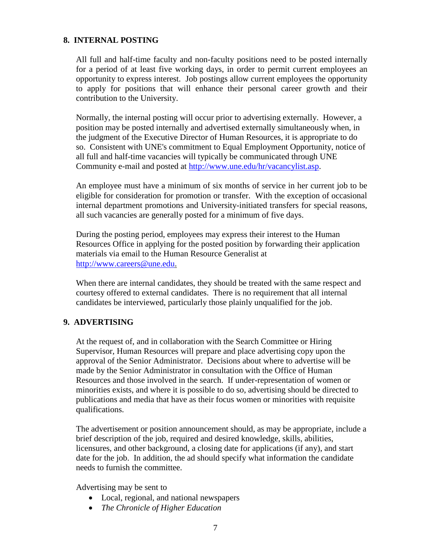#### **8. INTERNAL POSTING**

All full and half-time faculty and non-faculty positions need to be posted internally for a period of at least five working days, in order to permit current employees an opportunity to express interest. Job postings allow current employees the opportunity to apply for positions that will enhance their personal career growth and their contribution to the University.

Normally, the internal posting will occur prior to advertising externally. However, a position may be posted internally and advertised externally simultaneously when, in the judgment of the Executive Director of Human Resources, it is appropriate to do so. Consistent with UNE's commitment to Equal Employment Opportunity, notice of all full and half-time vacancies will typically be communicated through UNE Community e-mail and posted at [http://www.une.edu/hr/vacancylist.asp.](http://www.une.edu/hr/vacancylist.asp)

An employee must have a minimum of six months of service in her current job to be eligible for consideration for promotion or transfer. With the exception of occasional internal department promotions and University-initiated transfers for special reasons, all such vacancies are generally posted for a minimum of five days.

During the posting period, employees may express their interest to the Human Resources Office in applying for the posted position by forwarding their application materials via email to the Human Resource Generalist at [http://www.careers@une.edu.](http://www.careers@une.edu/)

When there are internal candidates, they should be treated with the same respect and courtesy offered to external candidates. There is no requirement that all internal candidates be interviewed, particularly those plainly unqualified for the job.

#### **9. ADVERTISING**

At the request of, and in collaboration with the Search Committee or Hiring Supervisor, Human Resources will prepare and place advertising copy upon the approval of the Senior Administrator. Decisions about where to advertise will be made by the Senior Administrator in consultation with the Office of Human Resources and those involved in the search. If under-representation of women or minorities exists, and where it is possible to do so, advertising should be directed to publications and media that have as their focus women or minorities with requisite qualifications.

The advertisement or position announcement should, as may be appropriate, include a brief description of the job, required and desired knowledge, skills, abilities, licensures, and other background, a closing date for applications (if any), and start date for the job. In addition, the ad should specify what information the candidate needs to furnish the committee.

Advertising may be sent to

- Local, regional, and national newspapers
- *The Chronicle of Higher Education*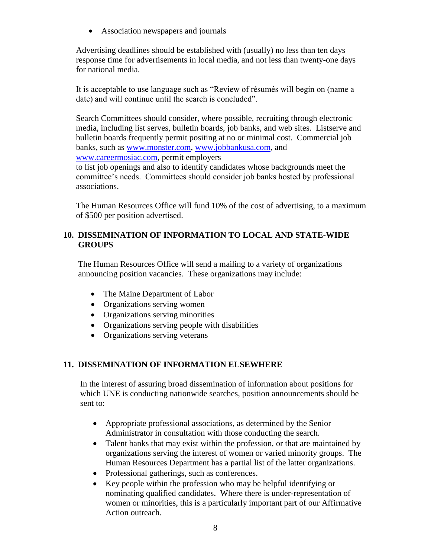• Association newspapers and journals

Advertising deadlines should be established with (usually) no less than ten days response time for advertisements in local media, and not less than twenty-one days for national media.

It is acceptable to use language such as "Review of résumés will begin on (name a date) and will continue until the search is concluded".

Search Committees should consider, where possible, recruiting through electronic media, including list serves, bulletin boards, job banks, and web sites. Listserve and bulletin boards frequently permit positing at no or minimal cost. Commercial job banks, such as [www.monster.com,](http://www.monster.com/) [www.jobbankusa.com,](http://www.jobbankusa.com/) and [www.careermosiac.com,](http://www.careermosiac.com/) permit employers

to list job openings and also to identify candidates whose backgrounds meet the committee's needs. Committees should consider job banks hosted by professional associations.

The Human Resources Office will fund 10% of the cost of advertising, to a maximum of \$500 per position advertised.

## **10. DISSEMINATION OF INFORMATION TO LOCAL AND STATE-WIDE GROUPS**

The Human Resources Office will send a mailing to a variety of organizations announcing position vacancies. These organizations may include:

- The Maine Department of Labor
- Organizations serving women
- Organizations serving minorities
- Organizations serving people with disabilities
- Organizations serving veterans

## **11. DISSEMINATION OF INFORMATION ELSEWHERE**

In the interest of assuring broad dissemination of information about positions for which UNE is conducting nationwide searches, position announcements should be sent to:

- Appropriate professional associations, as determined by the Senior Administrator in consultation with those conducting the search.
- Talent banks that may exist within the profession, or that are maintained by organizations serving the interest of women or varied minority groups. The Human Resources Department has a partial list of the latter organizations.
- Professional gatherings, such as conferences.
- Key people within the profession who may be helpful identifying or nominating qualified candidates. Where there is under-representation of women or minorities, this is a particularly important part of our Affirmative Action outreach.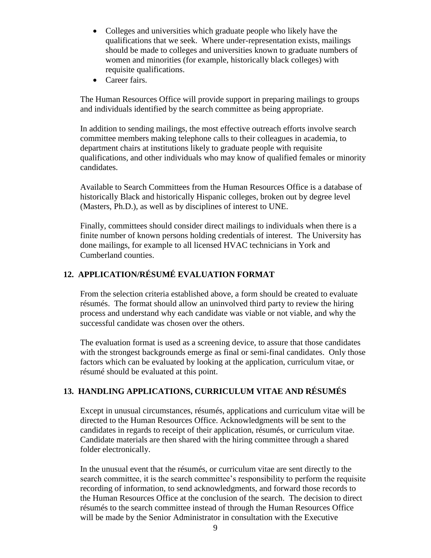- Colleges and universities which graduate people who likely have the qualifications that we seek. Where under-representation exists, mailings should be made to colleges and universities known to graduate numbers of women and minorities (for example, historically black colleges) with requisite qualifications.
- Career fairs.

The Human Resources Office will provide support in preparing mailings to groups and individuals identified by the search committee as being appropriate.

In addition to sending mailings, the most effective outreach efforts involve search committee members making telephone calls to their colleagues in academia, to department chairs at institutions likely to graduate people with requisite qualifications, and other individuals who may know of qualified females or minority candidates.

Available to Search Committees from the Human Resources Office is a database of historically Black and historically Hispanic colleges, broken out by degree level (Masters, Ph.D.), as well as by disciplines of interest to UNE.

Finally, committees should consider direct mailings to individuals when there is a finite number of known persons holding credentials of interest. The University has done mailings, for example to all licensed HVAC technicians in York and Cumberland counties.

## **12. APPLICATION/RÉSUMÉ EVALUATION FORMAT**

From the selection criteria established above, a form should be created to evaluate résumés. The format should allow an uninvolved third party to review the hiring process and understand why each candidate was viable or not viable, and why the successful candidate was chosen over the others.

The evaluation format is used as a screening device, to assure that those candidates with the strongest backgrounds emerge as final or semi-final candidates. Only those factors which can be evaluated by looking at the application, curriculum vitae, or résumé should be evaluated at this point.

#### **13. HANDLING APPLICATIONS, CURRICULUM VITAE AND RÉSUMÉS**

Except in unusual circumstances, résumés, applications and curriculum vitae will be directed to the Human Resources Office. Acknowledgments will be sent to the candidates in regards to receipt of their application, résumés, or curriculum vitae. Candidate materials are then shared with the hiring committee through a shared folder electronically.

In the unusual event that the résumés, or curriculum vitae are sent directly to the search committee, it is the search committee's responsibility to perform the requisite recording of information, to send acknowledgments, and forward those records to the Human Resources Office at the conclusion of the search. The decision to direct résumés to the search committee instead of through the Human Resources Office will be made by the Senior Administrator in consultation with the Executive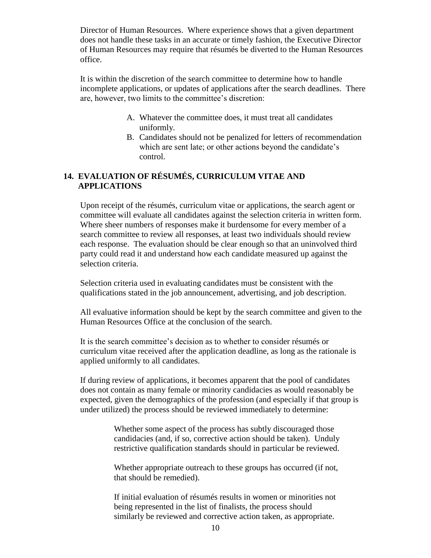Director of Human Resources. Where experience shows that a given department does not handle these tasks in an accurate or timely fashion, the Executive Director of Human Resources may require that résumés be diverted to the Human Resources office.

It is within the discretion of the search committee to determine how to handle incomplete applications, or updates of applications after the search deadlines. There are, however, two limits to the committee's discretion:

- A. Whatever the committee does, it must treat all candidates uniformly.
- B. Candidates should not be penalized for letters of recommendation which are sent late; or other actions beyond the candidate's control.

## **14. EVALUATION OF RÉSUMÉS, CURRICULUM VITAE AND APPLICATIONS**

Upon receipt of the résumés, curriculum vitae or applications, the search agent or committee will evaluate all candidates against the selection criteria in written form. Where sheer numbers of responses make it burdensome for every member of a search committee to review all responses, at least two individuals should review each response. The evaluation should be clear enough so that an uninvolved third party could read it and understand how each candidate measured up against the selection criteria.

Selection criteria used in evaluating candidates must be consistent with the qualifications stated in the job announcement, advertising, and job description.

All evaluative information should be kept by the search committee and given to the Human Resources Office at the conclusion of the search.

It is the search committee's decision as to whether to consider résumés or curriculum vitae received after the application deadline, as long as the rationale is applied uniformly to all candidates.

If during review of applications, it becomes apparent that the pool of candidates does not contain as many female or minority candidacies as would reasonably be expected, given the demographics of the profession (and especially if that group is under utilized) the process should be reviewed immediately to determine:

> Whether some aspect of the process has subtly discouraged those candidacies (and, if so, corrective action should be taken). Unduly restrictive qualification standards should in particular be reviewed.

> Whether appropriate outreach to these groups has occurred (if not, that should be remedied).

> If initial evaluation of résumés results in women or minorities not being represented in the list of finalists, the process should similarly be reviewed and corrective action taken, as appropriate.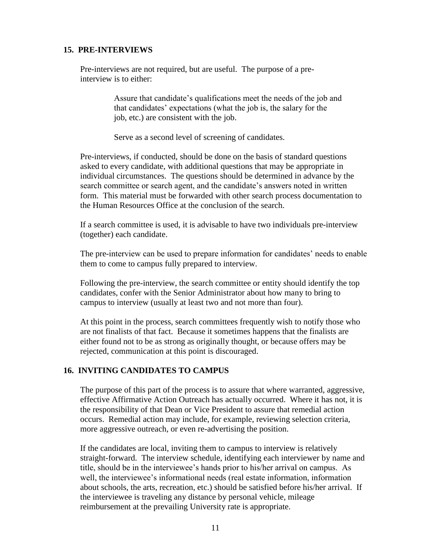#### **15. PRE-INTERVIEWS**

Pre-interviews are not required, but are useful. The purpose of a preinterview is to either:

> Assure that candidate's qualifications meet the needs of the job and that candidates' expectations (what the job is, the salary for the job, etc.) are consistent with the job.

Serve as a second level of screening of candidates.

Pre-interviews, if conducted, should be done on the basis of standard questions asked to every candidate, with additional questions that may be appropriate in individual circumstances. The questions should be determined in advance by the search committee or search agent, and the candidate's answers noted in written form. This material must be forwarded with other search process documentation to the Human Resources Office at the conclusion of the search.

If a search committee is used, it is advisable to have two individuals pre-interview (together) each candidate.

The pre-interview can be used to prepare information for candidates' needs to enable them to come to campus fully prepared to interview.

Following the pre-interview, the search committee or entity should identify the top candidates, confer with the Senior Administrator about how many to bring to campus to interview (usually at least two and not more than four).

At this point in the process, search committees frequently wish to notify those who are not finalists of that fact. Because it sometimes happens that the finalists are either found not to be as strong as originally thought, or because offers may be rejected, communication at this point is discouraged.

#### **16. INVITING CANDIDATES TO CAMPUS**

The purpose of this part of the process is to assure that where warranted, aggressive, effective Affirmative Action Outreach has actually occurred. Where it has not, it is the responsibility of that Dean or Vice President to assure that remedial action occurs. Remedial action may include, for example, reviewing selection criteria, more aggressive outreach, or even re-advertising the position.

If the candidates are local, inviting them to campus to interview is relatively straight-forward. The interview schedule, identifying each interviewer by name and title, should be in the interviewee's hands prior to his/her arrival on campus. As well, the interviewee's informational needs (real estate information, information about schools, the arts, recreation, etc.) should be satisfied before his/her arrival. If the interviewee is traveling any distance by personal vehicle, mileage reimbursement at the prevailing University rate is appropriate.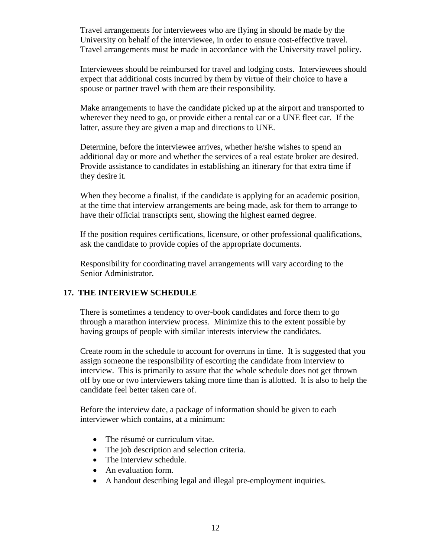Travel arrangements for interviewees who are flying in should be made by the University on behalf of the interviewee, in order to ensure cost-effective travel. Travel arrangements must be made in accordance with the University travel policy.

Interviewees should be reimbursed for travel and lodging costs. Interviewees should expect that additional costs incurred by them by virtue of their choice to have a spouse or partner travel with them are their responsibility.

Make arrangements to have the candidate picked up at the airport and transported to wherever they need to go, or provide either a rental car or a UNE fleet car. If the latter, assure they are given a map and directions to UNE.

Determine, before the interviewee arrives, whether he/she wishes to spend an additional day or more and whether the services of a real estate broker are desired. Provide assistance to candidates in establishing an itinerary for that extra time if they desire it.

When they become a finalist, if the candidate is applying for an academic position, at the time that interview arrangements are being made, ask for them to arrange to have their official transcripts sent, showing the highest earned degree.

If the position requires certifications, licensure, or other professional qualifications, ask the candidate to provide copies of the appropriate documents.

Responsibility for coordinating travel arrangements will vary according to the Senior Administrator.

## **17. THE INTERVIEW SCHEDULE**

There is sometimes a tendency to over-book candidates and force them to go through a marathon interview process. Minimize this to the extent possible by having groups of people with similar interests interview the candidates.

Create room in the schedule to account for overruns in time. It is suggested that you assign someone the responsibility of escorting the candidate from interview to interview. This is primarily to assure that the whole schedule does not get thrown off by one or two interviewers taking more time than is allotted. It is also to help the candidate feel better taken care of.

Before the interview date, a package of information should be given to each interviewer which contains, at a minimum:

- The résumé or curriculum vitae.
- The job description and selection criteria.
- The interview schedule.
- An evaluation form.
- A handout describing legal and illegal pre-employment inquiries.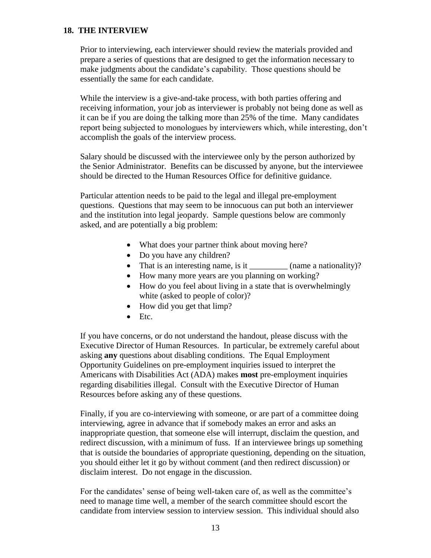## **18. THE INTERVIEW**

Prior to interviewing, each interviewer should review the materials provided and prepare a series of questions that are designed to get the information necessary to make judgments about the candidate's capability. Those questions should be essentially the same for each candidate.

While the interview is a give-and-take process, with both parties offering and receiving information, your job as interviewer is probably not being done as well as it can be if you are doing the talking more than 25% of the time. Many candidates report being subjected to monologues by interviewers which, while interesting, don't accomplish the goals of the interview process.

Salary should be discussed with the interviewee only by the person authorized by the Senior Administrator. Benefits can be discussed by anyone, but the interviewee should be directed to the Human Resources Office for definitive guidance.

Particular attention needs to be paid to the legal and illegal pre-employment questions. Questions that may seem to be innocuous can put both an interviewer and the institution into legal jeopardy. Sample questions below are commonly asked, and are potentially a big problem:

- What does your partner think about moving here?
- Do you have any children?
- That is an interesting name, is it \_\_\_\_\_\_\_\_\_\_ (name a nationality)?
- How many more years are you planning on working?
- How do you feel about living in a state that is overwhelmingly white (asked to people of color)?
- How did you get that limp?
- $\bullet$  Etc.

If you have concerns, or do not understand the handout, please discuss with the Executive Director of Human Resources. In particular, be extremely careful about asking **any** questions about disabling conditions. The Equal Employment Opportunity Guidelines on pre-employment inquiries issued to interpret the Americans with Disabilities Act (ADA) makes **most** pre-employment inquiries regarding disabilities illegal. Consult with the Executive Director of Human Resources before asking any of these questions.

Finally, if you are co-interviewing with someone, or are part of a committee doing interviewing, agree in advance that if somebody makes an error and asks an inappropriate question, that someone else will interrupt, disclaim the question, and redirect discussion, with a minimum of fuss. If an interviewee brings up something that is outside the boundaries of appropriate questioning, depending on the situation, you should either let it go by without comment (and then redirect discussion) or disclaim interest. Do not engage in the discussion.

For the candidates' sense of being well-taken care of, as well as the committee's need to manage time well, a member of the search committee should escort the candidate from interview session to interview session. This individual should also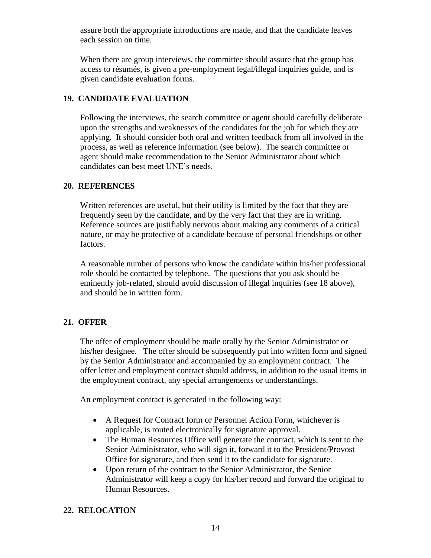assure both the appropriate introductions are made, and that the candidate leaves each session on time.

When there are group interviews, the committee should assure that the group has access to résumés, is given a pre-employment legal/illegal inquiries guide, and is given candidate evaluation forms.

## **19. CANDIDATE EVALUATION**

Following the interviews, the search committee or agent should carefully deliberate upon the strengths and weaknesses of the candidates for the job for which they are applying. It should consider both oral and written feedback from all involved in the process, as well as reference information (see below). The search committee or agent should make recommendation to the Senior Administrator about which candidates can best meet UNE's needs.

## **20. REFERENCES**

Written references are useful, but their utility is limited by the fact that they are frequently seen by the candidate, and by the very fact that they are in writing. Reference sources are justifiably nervous about making any comments of a critical nature, or may be protective of a candidate because of personal friendships or other factors.

A reasonable number of persons who know the candidate within his/her professional role should be contacted by telephone. The questions that you ask should be eminently job-related, should avoid discussion of illegal inquiries (see 18 above), and should be in written form.

## **21. OFFER**

The offer of employment should be made orally by the Senior Administrator or his/her designee. The offer should be subsequently put into written form and signed by the Senior Administrator and accompanied by an employment contract. The offer letter and employment contract should address, in addition to the usual items in the employment contract, any special arrangements or understandings.

An employment contract is generated in the following way:

- A Request for Contract form or Personnel Action Form, whichever is applicable, is routed electronically for signature approval.
- The Human Resources Office will generate the contract, which is sent to the Senior Administrator, who will sign it, forward it to the President/Provost Office for signature, and then send it to the candidate for signature.
- Upon return of the contract to the Senior Administrator, the Senior Administrator will keep a copy for his/her record and forward the original to Human Resources.

## **22. RELOCATION**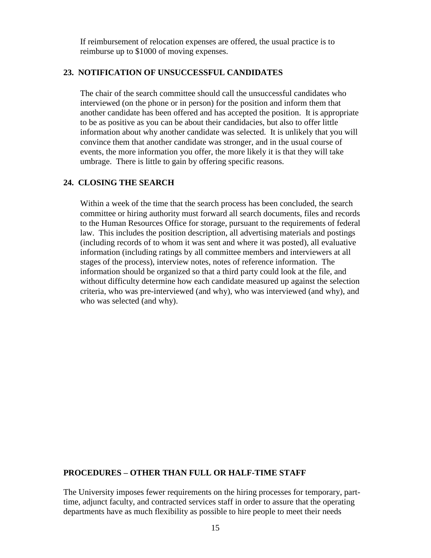If reimbursement of relocation expenses are offered, the usual practice is to reimburse up to \$1000 of moving expenses.

#### **23. NOTIFICATION OF UNSUCCESSFUL CANDIDATES**

The chair of the search committee should call the unsuccessful candidates who interviewed (on the phone or in person) for the position and inform them that another candidate has been offered and has accepted the position. It is appropriate to be as positive as you can be about their candidacies, but also to offer little information about why another candidate was selected. It is unlikely that you will convince them that another candidate was stronger, and in the usual course of events, the more information you offer, the more likely it is that they will take umbrage. There is little to gain by offering specific reasons.

## **24. CLOSING THE SEARCH**

Within a week of the time that the search process has been concluded, the search committee or hiring authority must forward all search documents, files and records to the Human Resources Office for storage, pursuant to the requirements of federal law. This includes the position description, all advertising materials and postings (including records of to whom it was sent and where it was posted), all evaluative information (including ratings by all committee members and interviewers at all stages of the process), interview notes, notes of reference information. The information should be organized so that a third party could look at the file, and without difficulty determine how each candidate measured up against the selection criteria, who was pre-interviewed (and why), who was interviewed (and why), and who was selected (and why).

### **PROCEDURES – OTHER THAN FULL OR HALF-TIME STAFF**

The University imposes fewer requirements on the hiring processes for temporary, parttime, adjunct faculty, and contracted services staff in order to assure that the operating departments have as much flexibility as possible to hire people to meet their needs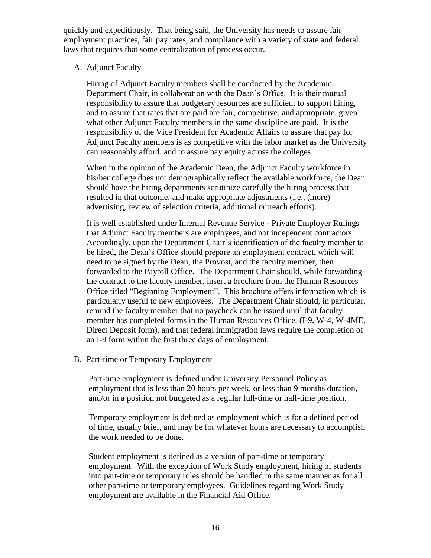quickly and expeditiously. That being said, the University has needs to assure fair employment practices, fair pay rates, and compliance with a variety of state and federal laws that requires that some centralization of process occur.

A. Adjunct Faculty

Hiring of Adjunct Faculty members shall be conducted by the Academic Department Chair, in collaboration with the Dean's Office. It is their mutual responsibility to assure that budgetary resources are sufficient to support hiring, and to assure that rates that are paid are fair, competitive, and appropriate, given what other Adjunct Faculty members in the same discipline are paid. It is the responsibility of the Vice President for Academic Affairs to assure that pay for Adjunct Faculty members is as competitive with the labor market as the University can reasonably afford, and to assure pay equity across the colleges.

When in the opinion of the Academic Dean, the Adjunct Faculty workforce in his/her college does not demographically reflect the available workforce, the Dean should have the hiring departments scrutinize carefully the hiring process that resulted in that outcome, and make appropriate adjustments (i.e., (more) advertising, review of selection criteria, additional outreach efforts).

It is well established under Internal Revenue Service - Private Employer Rulings that Adjunct Faculty members are employees, and not independent contractors. Accordingly, upon the Department Chair's identification of the faculty member to be hired, the Dean's Office should prepare an employment contract, which will need to be signed by the Dean, the Provost, and the faculty member, then forwarded to the Payroll Office. The Department Chair should, while forwarding the contract to the faculty member, insert a brochure from the Human Resources Office titled "Beginning Employment". This brochure offers information which is particularly useful to new employees. The Department Chair should, in particular, remind the faculty member that no paycheck can be issued until that faculty member has completed forms in the Human Resources Office, (I-9, W-4, W-4ME, Direct Deposit form), and that federal immigration laws require the completion of an I-9 form within the first three days of employment.

B. Part-time or Temporary Employment

Part-time employment is defined under University Personnel Policy as employment that is less than 20 hours per week, or less than 9 months duration, and/or in a position not budgeted as a regular full-time or half-time position.

Temporary employment is defined as employment which is for a defined period of time, usually brief, and may be for whatever hours are necessary to accomplish the work needed to be done.

Student employment is defined as a version of part-time or temporary employment. With the exception of Work Study employment, hiring of students into part-time or temporary roles should be handled in the same manner as for all other part-time or temporary employees. Guidelines regarding Work Study employment are available in the Financial Aid Office.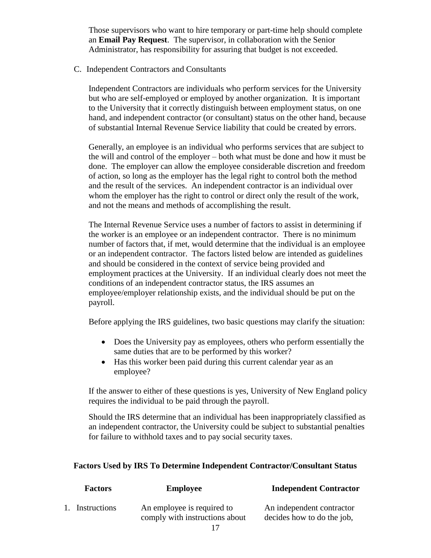Those supervisors who want to hire temporary or part-time help should complete an **Email Pay Request**. The supervisor, in collaboration with the Senior Administrator, has responsibility for assuring that budget is not exceeded.

C. Independent Contractors and Consultants

Independent Contractors are individuals who perform services for the University but who are self-employed or employed by another organization. It is important to the University that it correctly distinguish between employment status, on one hand, and independent contractor (or consultant) status on the other hand, because of substantial Internal Revenue Service liability that could be created by errors.

Generally, an employee is an individual who performs services that are subject to the will and control of the employer – both what must be done and how it must be done. The employer can allow the employee considerable discretion and freedom of action, so long as the employer has the legal right to control both the method and the result of the services. An independent contractor is an individual over whom the employer has the right to control or direct only the result of the work, and not the means and methods of accomplishing the result.

The Internal Revenue Service uses a number of factors to assist in determining if the worker is an employee or an independent contractor. There is no minimum number of factors that, if met, would determine that the individual is an employee or an independent contractor. The factors listed below are intended as guidelines and should be considered in the context of service being provided and employment practices at the University. If an individual clearly does not meet the conditions of an independent contractor status, the IRS assumes an employee/employer relationship exists, and the individual should be put on the payroll.

Before applying the IRS guidelines, two basic questions may clarify the situation:

- Does the University pay as employees, others who perform essentially the same duties that are to be performed by this worker?
- Has this worker been paid during this current calendar year as an employee?

If the answer to either of these questions is yes, University of New England policy requires the individual to be paid through the payroll.

Should the IRS determine that an individual has been inappropriately classified as an independent contractor, the University could be subject to substantial penalties for failure to withhold taxes and to pay social security taxes.

#### **Factors Used by IRS To Determine Independent Contractor/Consultant Status**

| <b>Factors</b>  | <b>Employee</b>                                              | <b>Independent Contractor</b>                           |
|-----------------|--------------------------------------------------------------|---------------------------------------------------------|
| 1. Instructions | An employee is required to<br>comply with instructions about | An independent contractor<br>decides how to do the job, |
|                 |                                                              |                                                         |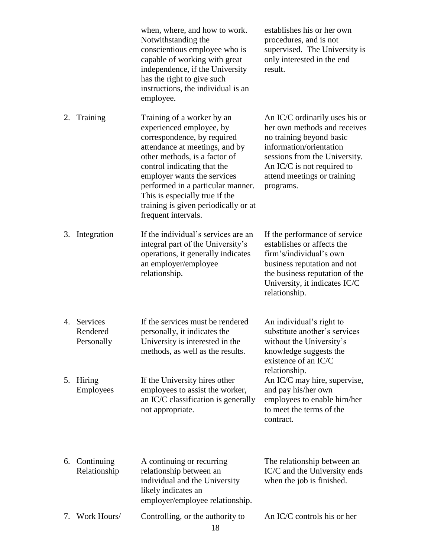|    |                                       | when, where, and how to work.<br>Notwithstanding the<br>conscientious employee who is<br>capable of working with great<br>independence, if the University<br>has the right to give such<br>instructions, the individual is an<br>employee.                                                                                                                   | establishes his or her own<br>procedures, and is not<br>supervised. The University is<br>only interested in the end<br>result.                                                                                                   |
|----|---------------------------------------|--------------------------------------------------------------------------------------------------------------------------------------------------------------------------------------------------------------------------------------------------------------------------------------------------------------------------------------------------------------|----------------------------------------------------------------------------------------------------------------------------------------------------------------------------------------------------------------------------------|
| 2. | Training                              | Training of a worker by an<br>experienced employee, by<br>correspondence, by required<br>attendance at meetings, and by<br>other methods, is a factor of<br>control indicating that the<br>employer wants the services<br>performed in a particular manner.<br>This is especially true if the<br>training is given periodically or at<br>frequent intervals. | An IC/C ordinarily uses his or<br>her own methods and receives<br>no training beyond basic<br>information/orientation<br>sessions from the University.<br>An IC/C is not required to<br>attend meetings or training<br>programs. |
| 3. | Integration                           | If the individual's services are an<br>integral part of the University's<br>operations, it generally indicates<br>an employer/employee<br>relationship.                                                                                                                                                                                                      | If the performance of service<br>establishes or affects the<br>firm's/individual's own<br>business reputation and not<br>the business reputation of the<br>University, it indicates IC/C<br>relationship.                        |
|    | 4. Services<br>Rendered<br>Personally | If the services must be rendered<br>personally, it indicates the<br>University is interested in the<br>methods, as well as the results.                                                                                                                                                                                                                      | An individual's right to<br>substitute another's services<br>without the University's<br>knowledge suggests the<br>existence of an IC/C<br>relationship.                                                                         |
| 5. | Hiring<br><b>Employees</b>            | If the University hires other<br>employees to assist the worker,<br>an IC/C classification is generally<br>not appropriate.                                                                                                                                                                                                                                  | An IC/C may hire, supervise,<br>and pay his/her own<br>employees to enable him/her<br>to meet the terms of the<br>contract.                                                                                                      |
| 6. | Continuing<br>Relationship            | A continuing or recurring<br>relationship between an<br>individual and the University<br>likely indicates an<br>employer/employee relationship.                                                                                                                                                                                                              | The relationship between an<br>IC/C and the University ends<br>when the job is finished.                                                                                                                                         |
| 7. | Work Hours/                           | Controlling, or the authority to<br>18                                                                                                                                                                                                                                                                                                                       | An IC/C controls his or her                                                                                                                                                                                                      |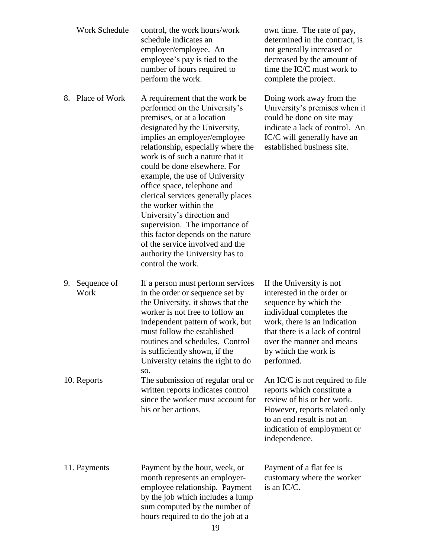|    | Work Schedule       | control, the work hours/work<br>schedule indicates an<br>employer/employee. An<br>employee's pay is tied to the<br>number of hours required to<br>perform the work.                                                                                                                                                                                                                                                                                                                                                                                                                                      | own time. The rate of pay,<br>determined in the contract, is<br>not generally increased or<br>decreased by the amount of<br>time the IC/C must work to<br>complete the project.                                                                   |
|----|---------------------|----------------------------------------------------------------------------------------------------------------------------------------------------------------------------------------------------------------------------------------------------------------------------------------------------------------------------------------------------------------------------------------------------------------------------------------------------------------------------------------------------------------------------------------------------------------------------------------------------------|---------------------------------------------------------------------------------------------------------------------------------------------------------------------------------------------------------------------------------------------------|
| 8. | Place of Work       | A requirement that the work be<br>performed on the University's<br>premises, or at a location<br>designated by the University,<br>implies an employer/employee<br>relationship, especially where the<br>work is of such a nature that it<br>could be done elsewhere. For<br>example, the use of University<br>office space, telephone and<br>clerical services generally places<br>the worker within the<br>University's direction and<br>supervision. The importance of<br>this factor depends on the nature<br>of the service involved and the<br>authority the University has to<br>control the work. | Doing work away from the<br>University's premises when it<br>could be done on site may<br>indicate a lack of control. An<br>IC/C will generally have an<br>established business site.                                                             |
| 9. | Sequence of<br>Work | If a person must perform services<br>in the order or sequence set by<br>the University, it shows that the<br>worker is not free to follow an<br>independent pattern of work, but<br>must follow the established<br>routines and schedules. Control<br>is sufficiently shown, if the<br>University retains the right to do                                                                                                                                                                                                                                                                                | If the University is not<br>interested in the order or<br>sequence by which the<br>individual completes the<br>work, there is an indication<br>that there is a lack of control<br>over the manner and means<br>by which the work is<br>performed. |
|    | 10. Reports         | SO.<br>The submission of regular oral or<br>written reports indicates control<br>since the worker must account for<br>his or her actions.                                                                                                                                                                                                                                                                                                                                                                                                                                                                | An $IC/C$ is not required to file<br>reports which constitute a<br>review of his or her work.<br>However, reports related only<br>to an end result is not an<br>indication of employment or<br>independence.                                      |
|    | 11. Payments        | Payment by the hour, week, or<br>month represents an employer-<br>employee relationship. Payment<br>by the job which includes a lump<br>sum computed by the number of<br>hours required to do the job at a<br>10                                                                                                                                                                                                                                                                                                                                                                                         | Payment of a flat fee is<br>customary where the worker<br>is an IC/C.                                                                                                                                                                             |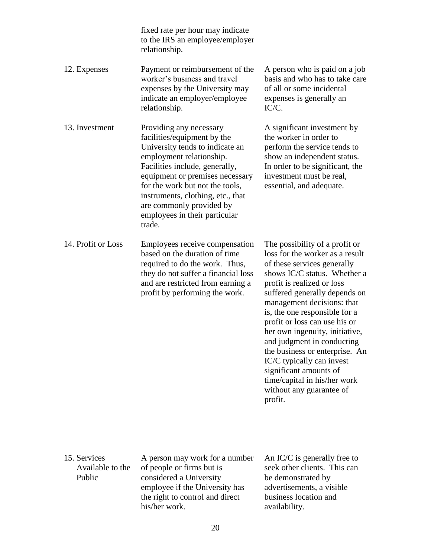|                    | fixed rate per hour may indicate<br>to the IRS an employee/employer<br>relationship.                                                                                                                                                                                                                                                      |                                                                                                                                                                                                                                                                                                                                                                                                                                                                                                                                 |
|--------------------|-------------------------------------------------------------------------------------------------------------------------------------------------------------------------------------------------------------------------------------------------------------------------------------------------------------------------------------------|---------------------------------------------------------------------------------------------------------------------------------------------------------------------------------------------------------------------------------------------------------------------------------------------------------------------------------------------------------------------------------------------------------------------------------------------------------------------------------------------------------------------------------|
| 12. Expenses       | Payment or reimbursement of the<br>worker's business and travel<br>expenses by the University may<br>indicate an employer/employee<br>relationship.                                                                                                                                                                                       | A person who is paid on a job<br>basis and who has to take care<br>of all or some incidental<br>expenses is generally an<br>IC/C.                                                                                                                                                                                                                                                                                                                                                                                               |
| 13. Investment     | Providing any necessary<br>facilities/equipment by the<br>University tends to indicate an<br>employment relationship.<br>Facilities include, generally,<br>equipment or premises necessary<br>for the work but not the tools,<br>instruments, clothing, etc., that<br>are commonly provided by<br>employees in their particular<br>trade. | A significant investment by<br>the worker in order to<br>perform the service tends to<br>show an independent status.<br>In order to be significant, the<br>investment must be real,<br>essential, and adequate.                                                                                                                                                                                                                                                                                                                 |
| 14. Profit or Loss | Employees receive compensation<br>based on the duration of time<br>required to do the work. Thus,<br>they do not suffer a financial loss<br>and are restricted from earning a<br>profit by performing the work.                                                                                                                           | The possibility of a profit or<br>loss for the worker as a result<br>of these services generally<br>shows IC/C status. Whether a<br>profit is realized or loss<br>suffered generally depends on<br>management decisions: that<br>is, the one responsible for a<br>profit or loss can use his or<br>her own ingenuity, initiative,<br>and judgment in conducting<br>the business or enterprise. An<br>IC/C typically can invest<br>significant amounts of<br>time/capital in his/her work<br>without any guarantee of<br>profit. |

| 15. Services<br>Available to the<br>Public | A person may work for a number<br>of people or firms but is<br>considered a University<br>employee if the University has<br>the right to control and direct | An $IC/C$ is generally free to<br>seek other clients. This can<br>be demonstrated by<br>advertisements, a visible<br>business location and |
|--------------------------------------------|-------------------------------------------------------------------------------------------------------------------------------------------------------------|--------------------------------------------------------------------------------------------------------------------------------------------|
|                                            | his/her work.                                                                                                                                               | availability.                                                                                                                              |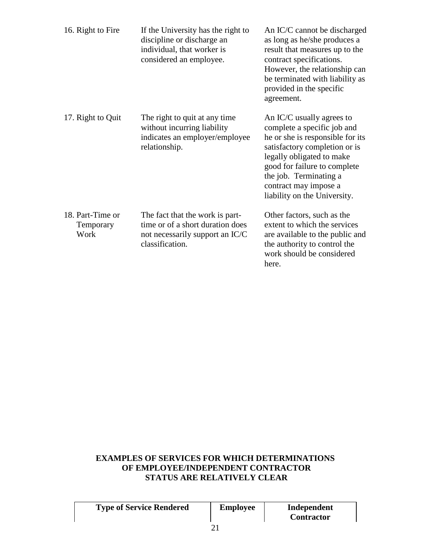| 16. Right to Fire                     | If the University has the right to<br>discipline or discharge an<br>individual, that worker is<br>considered an employee. | An IC/C cannot be discharged<br>as long as he/she produces a<br>result that measures up to the<br>contract specifications.<br>However, the relationship can<br>be terminated with liability as<br>provided in the specific<br>agreement.                                      |
|---------------------------------------|---------------------------------------------------------------------------------------------------------------------------|-------------------------------------------------------------------------------------------------------------------------------------------------------------------------------------------------------------------------------------------------------------------------------|
| 17. Right to Quit                     | The right to quit at any time<br>without incurring liability<br>indicates an employer/employee<br>relationship.           | An IC/C usually agrees to<br>complete a specific job and<br>he or she is responsible for its<br>satisfactory completion or is<br>legally obligated to make<br>good for failure to complete<br>the job. Terminating a<br>contract may impose a<br>liability on the University. |
| 18. Part-Time or<br>Temporary<br>Work | The fact that the work is part-<br>time or of a short duration does<br>not necessarily support an IC/C<br>classification. | Other factors, such as the<br>extent to which the services<br>are available to the public and<br>the authority to control the<br>work should be considered<br>here.                                                                                                           |

## **EXAMPLES OF SERVICES FOR WHICH DETERMINATIONS OF EMPLOYEE/INDEPENDENT CONTRACTOR STATUS ARE RELATIVELY CLEAR**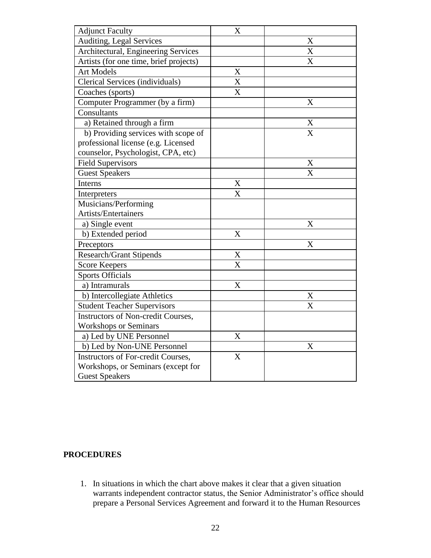| <b>Adjunct Faculty</b>                    | X                       |                |
|-------------------------------------------|-------------------------|----------------|
| Auditing, Legal Services                  |                         | X              |
| Architectural, Engineering Services       |                         | X              |
| Artists (for one time, brief projects)    |                         | X              |
| <b>Art Models</b>                         | X                       |                |
| Clerical Services (individuals)           | X                       |                |
| Coaches (sports)                          | X                       |                |
| Computer Programmer (by a firm)           |                         | X              |
| Consultants                               |                         |                |
| a) Retained through a firm                |                         | X              |
| b) Providing services with scope of       |                         | $\overline{X}$ |
| professional license (e.g. Licensed       |                         |                |
| counselor, Psychologist, CPA, etc)        |                         |                |
| <b>Field Supervisors</b>                  |                         | X              |
| <b>Guest Speakers</b>                     |                         | $\overline{X}$ |
| Interns                                   | $\mathbf X$             |                |
| Interpreters                              | X                       |                |
| Musicians/Performing                      |                         |                |
| <b>Artists/Entertainers</b>               |                         |                |
| a) Single event                           |                         | X              |
| b) Extended period                        | X                       |                |
| Preceptors                                |                         | X              |
| <b>Research/Grant Stipends</b>            | X                       |                |
| <b>Score Keepers</b>                      | $\overline{\mathrm{X}}$ |                |
| <b>Sports Officials</b>                   |                         |                |
| a) Intramurals                            | X                       |                |
| b) Intercollegiate Athletics              |                         | X              |
| <b>Student Teacher Supervisors</b>        |                         | $\overline{X}$ |
| <b>Instructors of Non-credit Courses,</b> |                         |                |
| <b>Workshops or Seminars</b>              |                         |                |
| a) Led by UNE Personnel                   | X                       |                |
| b) Led by Non-UNE Personnel               |                         | X              |
| <b>Instructors of For-credit Courses,</b> | X                       |                |
| Workshops, or Seminars (except for        |                         |                |
| <b>Guest Speakers</b>                     |                         |                |

## **PROCEDURES**

1. In situations in which the chart above makes it clear that a given situation warrants independent contractor status, the Senior Administrator's office should prepare a Personal Services Agreement and forward it to the Human Resources